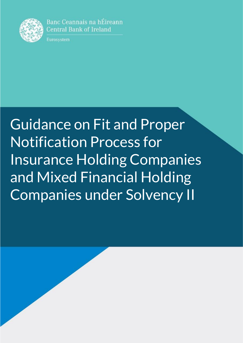

Banc Ceannais na hÉireann **Central Bank of Ireland** 

Eurosystem

# Guidance on Fit and Proper Notification Process for Insurance Holding Companies and Mixed Financial Holding Companies under Solvency II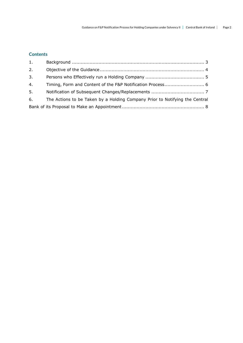# **Contents**

| 1. |                                                                             |
|----|-----------------------------------------------------------------------------|
| 2. |                                                                             |
| 3. |                                                                             |
| 4. |                                                                             |
| 5. |                                                                             |
| 6. | The Actions to be Taken by a Holding Company Prior to Notifying the Central |
|    |                                                                             |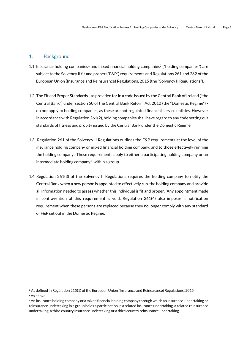# <span id="page-2-0"></span>1. Background

- 1.1 Insurance holding companies<sup>1</sup> and mixed financial holding companies<sup>2</sup> ("holding companies") are subject to the Solvency II fit and proper ("F&P") requirements and Regulations 261 and 262 of the European Union (Insurance and Reinsurance) Regulations, 2015 (the "Solvency II Regulations").
- 1.2 The Fit and Proper Standards as provided for in a code issued by the Central Bank of Ireland ("the Central Bank") under section 50 of the Central Bank Reform Act 2010 (the "Domestic Regime") do not apply to holding companies, as these are not regulated financial service entities. However in accordance with Regulation 261(2), holding companies shall have regard to any code setting out standards of fitness and probity issued by the Central Bank under the Domestic Regime.
- 1.3 Regulation 261 of the Solvency II Regulations outlines the F&P requirements at the level of the insurance holding company or mixed financial holding company, and to those effectively running the holding company. These requirements apply to either a participating holding company or an intermediate holding company<sup>3</sup> within a group.
- 1.4 Regulation 261(3) of the Solvency II Regulations requires the holding company to notify the Central Bank when a new person is appointed to effectively run the holding company and provide all information needed to assess whether this individual is fit and proper. Any appointment made in contravention of this requirement is void. Regulation 261(4) also imposes a notification requirement when these persons are replaced because they no longer comply with any standard of F&P set out in the Domestic Regime.

 $\overline{a}$ 

<sup>1</sup> As defined in Regulation 215(1) of the European Union (Insurance and Reinsurance) Regulations, 2015

<sup>&</sup>lt;sup>2</sup> As above

 $3$ An insurance holding company or a mixed financial holding company through which an insurance undertaking or reinsurance undertaking in a group holds a participation in a related insurance undertaking, a related reinsurance undertaking, a third country insurance undertaking or a third country reinsurance undertaking.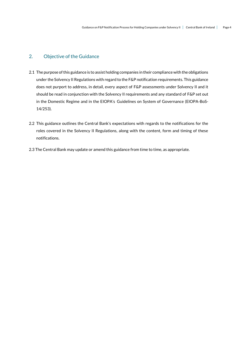# <span id="page-3-0"></span>2. Objective of the Guidance

- 2.1 The purpose of this guidance is to assist holding companies in their compliance with the obligations under the Solvency II Regulations with regard to the F&P notification requirements. This guidance does not purport to address, in detail, every aspect of F&P assessments under Solvency II and it should be read in conjunction with the Solvency II requirements and any standard of F&P set out in the Domestic Regime and in the EIOPA's Guidelines on System of Governance (EIOPA-BoS-14/253).
- 2.2 This guidance outlines the Central Bank's expectations with regards to the notifications for the roles covered in the Solvency II Regulations, along with the content, form and timing of these notifications.
- 2.3 The Central Bank may update or amend this guidance from time to time, as appropriate.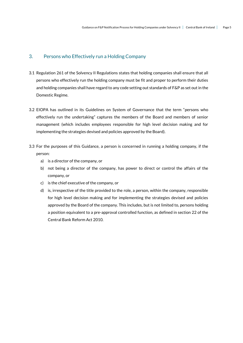# <span id="page-4-0"></span>3. Persons who Effectively run a Holding Company

- 3.1 Regulation 261 of the Solvency II Regulations states that holding companies shall ensure that all persons who effectively run the holding company must be fit and proper to perform their duties and holding companies shall have regard to any code setting out standards of F&P as set out in the Domestic Regime.
- 3.2 EIOPA has outlined in its Guidelines on System of Governance that the term "persons who effectively run the undertaking" captures the members of the Board and members of senior management (which includes employees responsible for high level decision making and for implementing the strategies devised and policies approved by the Board).
- 3.3 For the purposes of this Guidance, a person is concerned in running a holding company, if the person:
	- a) is a director of the company, or
	- b) not being a director of the company, has power to direct or control the affairs of the company, or
	- c) is the chief executive of the company, or
	- d) is, irrespective of the title provided to the role, a person, within the company, responsible for high level decision making and for implementing the strategies devised and policies approved by the Board of the company. This includes, but is not limited to, persons holding a position equivalent to a pre-approval controlled function, as defined in section 22 of the Central Bank Reform Act 2010.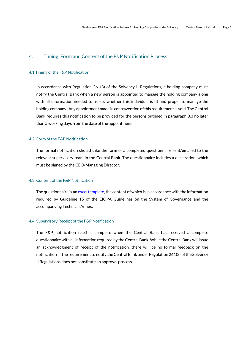### <span id="page-5-0"></span>4. Timing, Form and Content of the F&P Notification Process

#### 4.1 Timing of the F&P Notification

In accordance with Regulation 261(3) of the Solvency II Regulations, a holding company must notify the Central Bank when a new person is appointed to manage the holding company along with all information needed to assess whether this individual is fit and proper to manage the holding company. Any appointment made in contravention of this requirement is void. The Central Bank requires this notification to be provided for the persons outlined in paragraph 3.3 no later than 5 working days from the date of the appointment.

#### 4.2 Form of the F&P Notification

The formal notification should take the form of a completed questionnaire sent/emailed to the relevant supervisory team in the Central Bank. The questionnaire includes a declaration, which must be signed by the CEO/Managing Director.

#### 4.3 Content of the F&P Notification

The questionnaire is a[n excel template,](http://www.centralbank.ie/docs/default-source/regulation/industry-market-sectors/insurance-reinsurance/solvency-ii/supervision-process/fp-questionnaire-for-holding-companies-under-solvency-ii.xlsx?sfvrsn=2) the content of which is in accordance with the information required by Guideline 15 of the EIOPA Guidelines on the System of Governance and the accompanying Technical Annex.

#### 4.4 Supervisory Receipt of the F&P Notification

The F&P notification itself is complete when the Central Bank has received a complete questionnaire with all information required by the Central Bank. While the Central Bank will issue an acknowledgment of receipt of the notification, there will be no formal feedback on the notification as the requirement to notify theCentral Bank under Regulation 261(3) of the Solvency II Regulations does not constitute an approval process.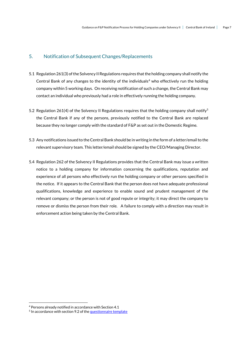# <span id="page-6-0"></span>5. Notification of Subsequent Changes/Replacements

- 5.1 Regulation 261(3) of the Solvency II Regulations requires that the holding company shall notify the Central Bank of any changes to the identity of the individuals<sup>4</sup> who effectively run the holding company within 5 working days. On receiving notification of such a change, the Central Bank may contact an individual who previously had a role in effectively running the holding company.
- 5.2 Regulation 261(4) of the Solvency II Regulations requires that the holding company shall notify<sup>5</sup> the Central Bank if any of the persons, previously notified to the Central Bank are replaced because they no longer comply with the standard of F&P as set out in the Domestic Regime.
- 5.3 Any notifications issued to the Central Bank should be in writing in the form of a letter/email to the relevant supervisory team. This letter/email should be signed by the CEO/Managing Director.
- 5.4 Regulation 262 of the Solvency II Regulations provides that the Central Bank may issue a written notice to a holding company for information concerning the qualifications, reputation and experience of all persons who effectively run the holding company or other persons specified in the notice. If it appears to the Central Bank that the person does not have adequate professional qualifications, knowledge and experience to enable sound and prudent management of the relevant company; or the person is not of good repute or integrity; it may direct the company to remove or dismiss the person from their role. A failure to comply with a direction may result in enforcement action being taken by the Central Bank.

 $\overline{a}$ 

<sup>4</sup> Persons already notified in accordance with Section 4.1

<sup>&</sup>lt;sup>5</sup> In accordance with section 9.2 of the <u>questionnaire template</u>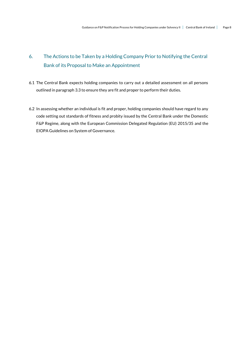# <span id="page-7-0"></span>6. The Actions to be Taken by a Holding Company Prior to Notifying the Central Bank of its Proposal to Make an Appointment

- 6.1 The Central Bank expects holding companies to carry out a detailed assessment on all persons outlined in paragraph 3.3 to ensure they are fit and proper to perform their duties.
- 6.2 In assessing whether an individual is fit and proper, holding companies should have regard to any code setting out standards of fitness and probity issued by the Central Bank under the Domestic F&P Regime, along with the European Commission Delegated Regulation (EU) 2015/35 and the EIOPA Guidelines on System of Governance.